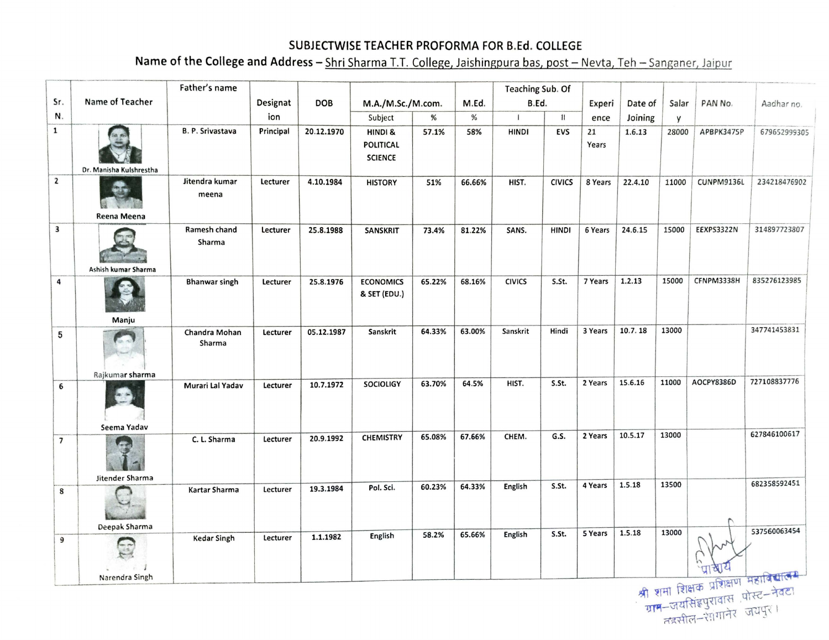## **SUBJECTWISE TEACHER PROFORMA FOR B.Ed. COLLEGE**

Name of the College and Address - Shri Sharma T.T. College, Jaishingpura bas, post - Nevta, Teh - Sanganer, Jaipur

|                          |                                | Father's name           |           |            |                                               |        |        | Teaching Sub. Of |               |             |         |       |                                 |              |
|--------------------------|--------------------------------|-------------------------|-----------|------------|-----------------------------------------------|--------|--------|------------------|---------------|-------------|---------|-------|---------------------------------|--------------|
| Sr.                      | Name of Teacher                |                         | Designat  | <b>DOB</b> | M.A./M.Sc./M.com.                             |        | M.Ed.  | B.Ed.            |               | Experi      | Date of | Salar | PAN No.                         | Aadhar no.   |
| N.                       |                                |                         | ion       |            | Subject                                       | %      | %      | $\mathbf{I}$     | $\mathbf{11}$ | ence        | Joining | y     |                                 |              |
| $\mathbf{1}$             | Dr. Manisha Kulshrestha        | B. P. Srivastava        | Principal | 20.12.1970 | HINDI &<br><b>POLITICAL</b><br><b>SCIENCE</b> | 57.1%  | 58%    | <b>HINDI</b>     | <b>EVS</b>    | 21<br>Years | 1.6.13  | 28000 | APBPK3475P                      | 679652999305 |
| $\mathbf{z}$             | Reena Meena                    | Jitendra kumar<br>meena | Lecturer  | 4.10.1984  | <b>HISTORY</b>                                | 51%    | 66.66% | HIST.            | <b>CIVICS</b> | 8 Years     | 22.4.10 | 11000 | CUNPM9136L                      | 234218476902 |
| $\overline{\mathbf{3}}$  | Ashish kumar Sharma            | Ramesh chand<br>Sharma  | Lecturer  | 25.8.1988  | <b>SANSKRIT</b>                               | 73.4%  | 81.22% | SANS.            | <b>HINDI</b>  | 6 Years     | 24.6.15 | 15000 | EEXPS3322N                      | 314897723807 |
| 4                        | Manju                          | <b>Bhanwar singh</b>    | Lecturer  | 25.8.1976  | <b>ECONOMICS</b><br>& SET (EDU.)              | 65.22% | 68.16% | <b>CIVICS</b>    | S.St.         | 7 Years     | 1.2.13  | 15000 | CFNPM3338H                      | 835276123985 |
| 5                        |                                | Chandra Mohan<br>Sharma | Lecturer  | 05.12.1987 | Sanskrit                                      | 64.33% | 63.00% | Sanskrit         | Hindi         | 3 Years     | 10.7.18 | 13000 |                                 | 347741453831 |
| 6                        | Rajkumar sharma                | Murari Lal Yadav        | Lecturer  | 10.7.1972  | <b>SOCIOLIGY</b>                              | 63.70% | 64.5%  | HIST.            | S.St.         | 2 Years     | 15.6.16 | 11000 | AOCPY8386D                      | 727108837776 |
| $\overline{\phantom{a}}$ | Seema Yadav<br>Jitender Sharma | C. L. Sharma            | Lecturer  | 20.9.1992  | <b>CHEMISTRY</b>                              | 65.08% | 67.66% | CHEM.            | G.S.          | 2 Years     | 10.5.17 | 13000 |                                 | 627846100617 |
| 8                        | Deepak Sharma                  | Kartar Sharma           | Lecturer  | 19.3.1984  | Pol. Sci.                                     | 60.23% | 64.33% | English          | S.St.         | 4 Years     | 1.5.18  | 13500 |                                 | 682358592451 |
| 9                        | Narendra Singh                 | <b>Kedar Singh</b>      | Lecturer  | 1.1.1982   | English                                       | 58.2%  | 65.66% | English          | S.St.         | 5 Years     | 1.5.18  | 13000 | विषय विषय प्रशिक्षण महाविद्यालय | 537560063454 |

<sup>~</sup>~fl11 ~~ ~ --l~il"'I - <sup>~</sup> -~m.~-~ ~-~~\~ \J\Jg-{ I